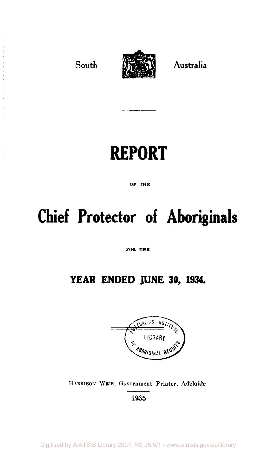

# **REPORT**

**OF THE** 

# **Chief Protector of Aboriginals**

**FOB THE** 

# **YEAR ENDED JUNE 30, 1934.**



HARRISON WEIR, Government Printer, Adelaide 1935

Digitised by AIATSIS Library 2007, RS 25.5/1 - www.aiatsis.gov.au/library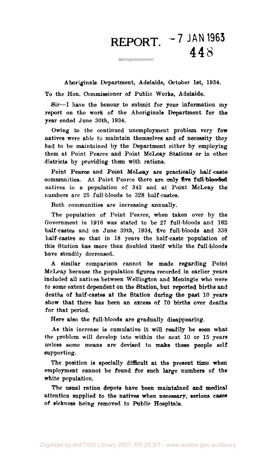**REPORT. - 7 JAN 1963**  448 

Aboriginals Department, Adelaide, October 1st, 1934. To the Hon. Commissioner of Public Works, Adelaide.

Sir—I have the honour to submit for your information my report on the work of the Aboriginals Department for the year ended June 30th, 1934.

Owing to the continued unemployment problem, very few natives were able to maintain themselves and of necessity they had to be maintained by the Department either by employing them at Point Pearce and Point McLeay Stations or in other districts by providing them with rations.

Point Pearce and Point McLeay are practically half-caste communities. At Point Pearce there are only five full-blooded natives in a population of 343 and at Point McLeay the numbers are 25 full-bloods to 328 half-castes.

Both communities are increasing annually.

The population of Point Pearce, when taken over by the Government in 1916 was stated to be 27 full-bloods and 162 half-castes and on June 30th, 1934, five full-bloods and 338 half-castes so that in 18 years the half-caste population of this Station has more than doubled itself while the full-bloods have steadily decreased.

A similar comparison cannot be made regarding Point McLeay because the population figures recorded in earlier years included all natives between Wellington and Meningie who were to some extent dependent on the Station, but reported births and deaths of half-castes at the Station during the past 10 years show that there has been an excess of 70 births over deaths for that period.

Here also the full-bloods are gradually disappearing.

As this increase is cumulative it will readily be seen what the problem will develop into within the next 10 or 15 years unless some means are devised to make these people self supporting.

The position is specially difficult at the present time when employment cannot be found for such large numbers of the white population.

The usual ration depots have been maintained and medical attention supplied to the natives when necessary, serious cases of sickness being removed to Public Hospitals.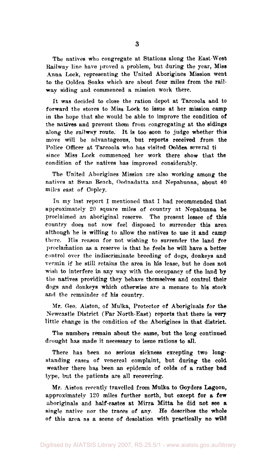The natives who congregate at Stations along the East-West Railway line have proved a problem, but during the year, Miss Anna Lock, representing the United Aborigines Mission went to the Ooldea Soaks which are about four miles from the railway siding and commenced a mission work there.

It was decided to close the ration depot at Tarcoola and to forward the stores to Miss Lock to issue at her mission camp in the hope that she would be able to improve the condition of the natives and prevent them from congregating at the sidings along the railway route. It is too soon to judge whether this move will be advantageous, but reports received from the Police Officer at Tarcoola who has visited Ooldea several ti since Miss Lock commenced her work there show that the condition of the natives has improved considerably.

The United Aborigines Mission are also working among the natives at Swan Reach, Oodnadatta and Nepabunna, about 40 miles east of Copley.

In my last report I mentioned that I had recommended that approximately 20 square miles of country at Nepabunna be proclaimed an aboriginal reserve. The present lessee of this country does not now feel disposed to surrender this area although he is willing to allow the natives to use it and camp there. His reason for not wishing to surrender the land for proclamation as a reserve is that he feels he will have a better control over the indiscriminate breeding of dogs, donkeys and vermin if he still retains the area in his lease, but he does not wish to interfere in any way with the occupancy of the land by the natives providing they behave themselves and control their dogs and donkeys which otherwise are a menace to his stock and the remainder of his country.

Mr. Geo. Aiston, of Mulka, Protector of Aboriginals for the Newcastle District (Far North-East) reports that there is very little change in the condition of the Aborigines in that district.

The numbers remain about the same, but the long continued drought has made it necessary to issue rations to all.

There has been no serious sickness excepting two longstanding cases of venereal complaint, but during the cold weather there has been an epidemic of colds of a rather bad type, but the patients are all recovering.

Mr. Aiston recently travelled from Mulka to Goyders Lagoon, approximately 120 miles further north, but except for a few aboriginals and half-castes at Mirra Mitta he did not see a single native nor the traces of any. He describes the whole of this area as a scene of desolation with practically no wild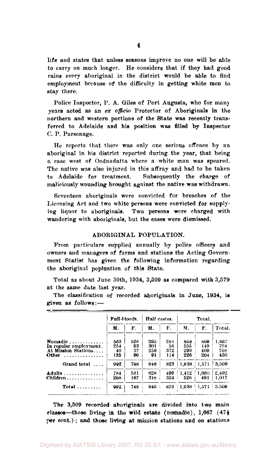life and states that unless seasons improve no one will be able to carry on much longer. He considers that if they had good rains every aboriginal in the district would be able to find employment because of the difficulty in getting white men to stay there.

Police Inspector, P. A. Giles of Port Augusta, who for many years acted as an *ex officio* Protector of Aboriginals in the northern and western portions of the State was recently transferred to Adelaide and his position was filled by Inspector C. P. Parsonage.

He reports that there was only one serious offence by an aboriginal in his district reported during the year, that being a case west of Oodnadatta where a white man was speared. The native was also injured in this affray and had to be taken to Adelaide for treatment. Subsequently the charge of maliciously wounding brought against the native was withdrawn.

Seventeen aboriginals were convicted for breaches of the Licensing Act and two white persons were convicted for supplying liquor to aboriginals. Two persons were charged with wandering with aboriginals, but the cases were dismissed.

#### ABORIGINAL POPULATION.

From particulars supplied annually by police officers and owners and managers of farms and stations the Acting Government Statist has given the following information regarding the aboriginal popluation of this State.

Total as about June 30th, 1934, 3,509 as compared with 3,579 at the same date last year.

|                                                                                 | Full-bloods.            |                       |                         | Half castes.<br>Total.  |                          |                          |                            |
|---------------------------------------------------------------------------------|-------------------------|-----------------------|-------------------------|-------------------------|--------------------------|--------------------------|----------------------------|
|                                                                                 | M.                      | F.                    | М.                      | F.                      | M.                       | F.                       | Total.                     |
| Nomadic<br>In regular employment.<br>At Mission Stations<br>Other<br>. <b>.</b> | 563<br>254<br>40<br>135 | 528<br>93<br>37<br>90 | 295<br>301<br>259<br>91 | 281<br>56<br>372<br>114 | 858<br>555<br>299<br>226 | 809<br>149<br>409<br>204 | 1.667<br>704<br>708<br>430 |
| Grand total<br>$\ldots$ .                                                       | 992                     | 748                   | 946                     | 823                     | 1.938                    | 1,571                    | 3.509                      |
| Adults<br>$Children \ldots \ldots \ldots$                                       | 784<br>208              | 581<br>167            | 628<br>318              | 499<br>324              | 1.412<br>526             | 1.080<br>491             | 2.492<br>1.017             |
| Total $\ldots$                                                                  | 992                     | 748                   | 946                     | 823                     | 1,938                    | 1.571                    | 3.509                      |

The classification of recorded aboriginals in June, 1934, is given as follows:—

The 3,509 recorded aboriginals are divided into two main classes—those living in the wild estate (nomadic),  $1,667$  (47 $\frac{1}{2}$ ) per cent.) ; and those living at mission stations and on stations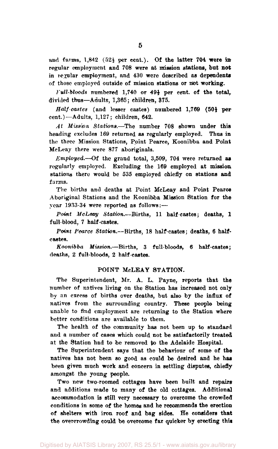and farms,  $1,842$  ( $52\frac{1}{2}$  per cent.). Of the latter 704 were in regular employment and 708 were at mission stations, but not in regular employment, and 430 were described as dependents of those employed outside of mission stations or not working.

*Full-bloods* numbered 1,740 or 49<sup>1</sup> per cent, of the total, divided thus—Adults, 1,365; children, 375.

*Half-castes* (and lesser castes) numbered 1,769 (50<sup>1</sup> per cent.)—Adults, 1,127; children, 642.

*At Mission Stations.*—The number 708 shown under this heading excludes 169 returned as regularly employed. Thus in the three Mission Stations, Point Pearce, Koonibba and Point McLeay there were 877 aboriginals.

*Employed.*—Of the grand total, 3,509, 704 were returned as regularly employed. Excluding the 169 employed at mission, stations there would be 535 employed chiefly on stations and farms.

The births and deaths at Point McLeay and Point Pearce Aboriginal Stations and the Koonibba Mission Station for the year 1933-34 were reported as follows:—

Point *McLeay Station.*—Births, 11 half-castes; deaths, 1 full-blood, 7 half-castes.

*Point Pearce Station.*—Births, 18 half-castes; deaths, 6 halfcastes.

*Koonibba Mission.*—Births, 3 full-bloods, 6 half-castes; deaths, 2 full-bloods, 2 half-castes.

#### POINT McLEAY STATION.

The Superintendent, Mr. A. L. Payne, reports that the number of natives living on the Station has increased not only by an excess of births over deaths, but also by the influx of natives from the surrounding country. These people being unable to find employment are returning to the Station where better conditions are available to them.

The health of the community has not been up to standard and a number of cases which could not be satisfactorily treated at the Station had to be removed to the Adelaide Hospital.

The Superintendent says that the behaviour of some of the natives has not been so good as could be desired and he has been given much work and concern in settling disputes, chiefly amongst the young people.

Two new two-roomed cottages have been built and repairs and additions made to many of the old cottages. Additional accommodation is still very necessary to overcome the crowded conditions in some of the homes and he recommends the erection of shelters with iron roof and bag sides. He considers that the overcrowding could be overcome far quicker by erecting this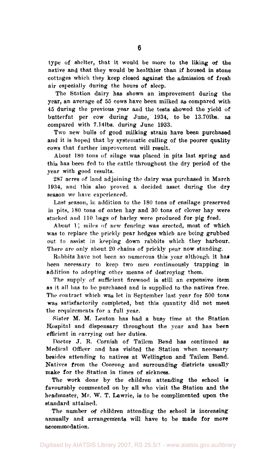type of shelter, that it would be more to the liking of the native and that they would be healthier than if housed in stone cottages which they keep closed against the admission of fresh air especially during the hours of sleep.

The Station dairy has shown an improvement during the year, an average of 55 cows have been milked as compared with 45 during the previous year and the tests showed the yield of butterfat per cow during June, 1934, to be 13.701bs. as compared with 7.141bs. during June 1933.

Two new bulls of good milking strain have been purchased and it is hoped that by systematic culling of the poorer quality cows that further improvement will result.

About 180 tons of silage was placed in pits last spring and this has been fed to the cattle throughout the dry period of the year with good results.

287 acres of land adjoining the dairy was purchased in March 1934, and this also proved a decided asset during the dry season we have experienced.

Last season, in addition to the 180 tons of ensilage preserved in pits, 180 tons of oaten hay and 30 tons of clover hay were stacked and 110 bags of barley were produced for pig feed.

About  $1<sup>3</sup>$  miles of new fencing-was erected, most of which was to replace the prickly pear hedges which are being grubbed out to assist in keeping down rabbits which they harbour. There are only about 20 chains of prickly pear now standing.

Babbits have not been so numerous this year although it has been necessary to keep two men continuously trapping in addition to adopting other means of destroying them.

The supply of sufficient firewood is still an expensive item as it all has to be purchased and is supplied to the natives free. The contract which was let in September last year for 500 tons was satisfactorily completed, but this quantity did not meet the requirements for a full year.

Sister M. M. Lenton has had a busy time at the Station Hospital and dispensary throughout the year and has been efficient in carrying out her duties.

Doctor J. K. Cornish of Tailem Bend has continued as Medical Officer and has visited the Station when necessary besides attending to natives at Wellington and Tailem Bend. Natives from the Coorong and surrounding districts usually make for the Station in times of sickness.

The work done by the children attending the school is favourably commented on by all who visit the Station and the headmaster, Mr. W. T. Lawrie, is to be complimented upon the standard attained.

The number of children attending the school is increasing annually and arrangements will have to be made for more accommodation.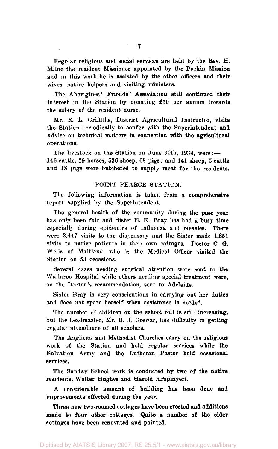Regular religious and social services are held by the Rev. H. Milne the resident Missioner appointed by the Parkin Mission and in this work he is assisted by the other officers and their wives, native helpers and visiting ministers.

The Aborigines' Friends' Association still continued their interest in the Station by donating £50 per annum towards the salary of the resident nurse.

Mr. R. L. Griffiths, District Agricultural Instructor, visits the Station periodically to confer with the Superintendent and advise on technical matters in connection with the agricultural operations.

The livestock on the Station on June 30th, 1934, were:-146 cattle, 29 horses, 536 sheep, 68 pigs; and 441 sheep, 5 cattle and 18 pigs were butchered to supply meat for the residents.

#### POINT PEARCE STATION.

The following information is taken from a comprehensive report supplied by the Superintendent.

The general health of the community during the past year has only been fair and Sister E. K. Bray has had a busy time especially during epidemics of influenza and measles. There were 3,447 visits to the dispensary and the Sister made 1,851 visits to native patients in their own cottages. Doctor C. G*.*  Wells of Maitland, who is the Medical Officer visited the Station on 53 occasions.

Several cases needing surgical attention were sent to the Wallaroo Hospital while others needing special treatment were, on the Doctor's recommendation, sent to Adelaide.

Sister Bray is very conscientious in carrying out her duties and does not spare herself when assistance is needed.

The number of children on the school roll is still increasing, but the headmaster, Mr. B. J. Grewar, has difficulty in getting regular attendance of all scholars.

The Anglican and Methodist Churches carry on the religious work of the Station and hold regular services while the Salvation Army and the Lutheran Pastor hold occasional services.

The Sunday School work is conducted by two of the native residents, Walter Hughes and Harold Kropinyeri.

A considerable amount of building has been done and improvements effected during the year.

Three new two-roomed cottages have been erected and additions made to four other cottages. Quite a number of the older cottages have been renovated and painted.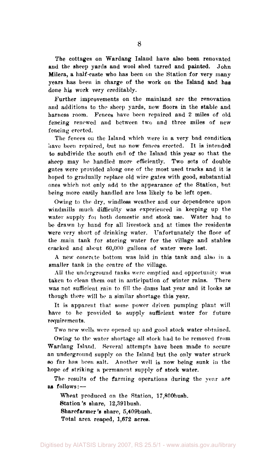The cottages on Wardang Island have also been renovated and the sheep yards and wool shed tarred and painted. John Milera, a half-caste who has been on the Station for very many years has been in charge of the work on the Island and has done his work very creditably.

Further improvements on the mainland are the renovation and additions to the sheep yards, new floors in the stable and harness room. Fences have been repaired and 2 miles of old fencing renewed and between two and three miles of new fencing erected.

The fences on the Island which were in a very bad condition have been repaired, but no new fences erected. It is intended to subdivide the south end of the Island this year so that the sheep may be handled more efficiently. Two sets of double gates were provided along one of the most used tracks and it is hoped to gradually replace old wire gates with good, substantial ones which not only add to the appearance of the Station, but being more easily handled are less likely to be left open.

Owing to the dry, windless weather and our dependence upon windmills much difficulty was experienced in keeping up the water supply for both domestic and stock use. Water had to be drawn by hand for all livestock and at times the residents were very short of drinking water. Unfortunately the floor of the main tank for storing water for the village and stables cracked and about 60,000 gallons of water were lost.

A new concrete bottom was laid in this tank and also in a smaller tank in the centre of the village.

All the underground tanks were emptied and opportunity was taken to clean them out in anticipation of winter rains. There was not sufficient rain to fill the dams last year and it looks as though there will be a similar shortage this year.

It is apparent that some power driven pumping plant will have to be provided to supply sufficient water for future requirements.

Two new wells were opened up and good stock water obtained.

Owing to the water shortage all stock had to be removed from Wardang Island. Several attempts have been made to secure an underground supply on the Island but the only water struck so far has been salt. Another well is now being sunk in the hope of striking a permanent supply of stock water.

The results of the farming operations during the year are as follows: —

Wheat produced on the Station, 17,800bush. Station's share, 12,391bush. Sharefarmer *'s* share, 5,409bush. Total area reaped, 1,672 acres.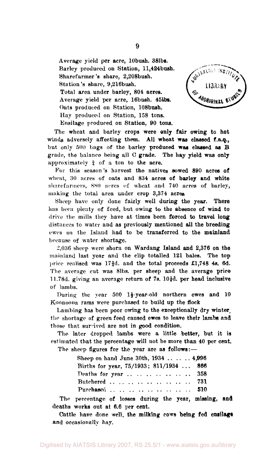Average yield per acre, 10bush. 38lbs. Barley produced on Station, ll,424bush. Sharefarmer's share, 2,208bush. Station's share, 9,216bush. Total area under barley, 804 acres. Average yield per acre, 16bush. 45lbs. Oats produced on Station, 108bush. Hay produced on Station, 158 tons. Ensilage produced on Station, 90 tons.



The wheat and barley crops were only fair owing to hot winds adversely affecting them. All wheat was classed f.a.q., but only 500 bags of the barley produced was classed as B grade, the balance being all C grade. The hay yield was only approximately  $\frac{3}{4}$  of a ton to the acre.

For this season's harvest the natives sowed 890 acres of wheat, 30 acres of oats and 834 acres of barley and white sharefarmers, 8S0 acres of wheat and 740 acres of barley, making the total area under crop 3,374 acres

Sheep have only done fairly well during the year. There has been plenty of feed, but owing to the absence of wind to drive the mills they have at times been forced to travel long distances to water and as previously mentioned all the breeding ewes on the Island had to be transferred to the mainland because of water shortage.

 $2,036$  sheep were shorn on Wardang Island and  $2,376$  on the mainland last year and the clip totalled 121 bales. The top price realised was 173d. and the total proceeds £1,748 4s. 6d. The average cut was 81bs. per sheep and the average price 11.78d. giving an average return of  $7s$ . 10 $\frac{1}{4}d$ , per head inclusive of lambs.

During the year 500  $1\frac{1}{2}$  year-old northern ewes and 10 Koonoona rams were purchased to build up the flock

Lambing has been poor owing to the exceptionally dry winter, the shortage of green feed caused ewes to leave their lambs and those that survived are not in good condition.

The later dropped lambs were a little better, but it is estimated that the percentage will not be more than 40 per cent.

The sheep figures for the year are as follows:—

| Sheep on hand June 30th, 1934  4,996    |  |
|-----------------------------------------|--|
| Births for year, 75/1933; 811/1934  866 |  |
| Deaths for year  358                    |  |
| Butchered , , , ,  731                  |  |
| Purchased       510                     |  |

The percentage of losses during the year, missing, and deaths works out at 6.6 per cent.

Cattle have done well, the milking cows being fed ensilage and occasionally hay.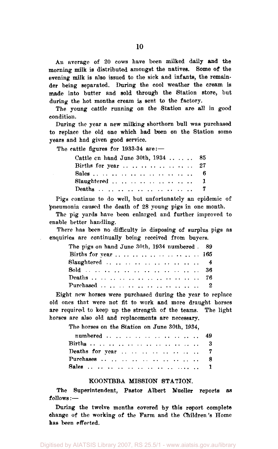An average of 20 cows have been milked daily and the morning milk is distributed amongst the natives. Some of the evening milk is also issued to the sick and infants, the remainder being separated. During the cool weather the cream is made into butter and sold through the Station store, but during the hot months cream is sent to the factory.

The young cattle running on the Station are all in good condition.

During the year a new milking shorthorn bull was purchased to replace the old one which had been on the Station some years and had given good service.

The cattle figures for 1933-34 are:—

| Cattle cn hand June 30th, $1934$ 85                             |  |
|-----------------------------------------------------------------|--|
| Births for year $\ldots$ $\ldots$ $\ldots$ $\ldots$ $\ldots$ 27 |  |
|                                                                 |  |
| Slaughtered  1                                                  |  |
| Deaths 7                                                        |  |

Pigs continue to do well, but unfortunately an epidemic of pneumonia caused the death of 28 young pigs in one month.

The pig yards have been enlarged and further improved to enable better handling.

There has been no difficulty in disposing of surplus pigs as enquiries are continually being received from buyers.

| The pigs on hand June 30th, 1934 numbered . 89 |  |
|------------------------------------------------|--|
|                                                |  |
| $Slaughtered        4$                         |  |
|                                                |  |
|                                                |  |
| Purchased        2                             |  |

Eight new horses were purchased during the year to replace old ones that were not fit to work and more draught horses are required to keep up the strength of the teams. The light horses are also old and replacements are necessary.

The horses on the Station on June 30th, 1934,

| numbered 49          |  |
|----------------------|--|
| Births             3 |  |
|                      |  |
| Purchases  8         |  |
|                      |  |

#### KOONIBBA MISSION STATION.

The Superintendent, Pastor Albert Mueller reports as follows:—

During the twelve months covered by this report complete change of the working of the Farm and the Children's Home has been effected.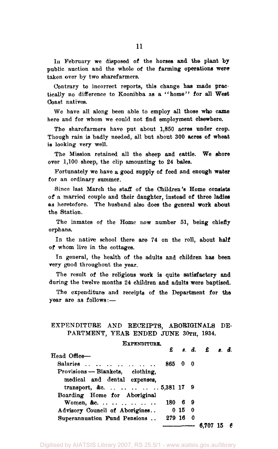In February we disposed of the horses and the plant by public auction and the whole of the farming operations were taken over by two sharefarmers.

Contrary to incorrect reports, this change has made practically no difference to Koonibba as a "home" for all West Coast natives.

We have all along been able to employ all those who came here and for whom we could not find employment elsewhere.

The sharefarmers have put about 1,850 acres under crop. Though rain is badly needed, all but about 300 acres of wheat is looking very well.

The Mission retained all the sheep and cattle. We shore over 1,100 sheep, the clip amounting to 24 bales.

Fortunately we have a good supply of feed and enough water for an ordinary summer.

Since last March the staff of the Children's Home consists of a married couple and their daughter, instead of three ladies as heretofore. The husband also does the general work about the Station.

The inmates of the Home now number 51, being chiefly orphans.

In the native school there are 74 on the roll, about half of whom live in the cottages.

In general, the health of the adults and children has been very good throughout the year.

The result of the religious work is quite satisfactory and during the twelve months 24 children and adults were baptised.

The expenditure and receipts of the Department for the year are as follows:—

### EXPENDITURE AND RECEIPTS, ABORIGINALS DE-PARTMENT, YEAR ENDED JUNE 30TH, 1934.

#### EXPENDITURE.

|                                  | £       |          | 8. d. £ 8. d. |    |
|----------------------------------|---------|----------|---------------|----|
| Head Office-                     |         |          |               |    |
| Salaries                         | 86500   |          |               |    |
| Provisions - Blankets, clothing, |         |          |               |    |
| medical and dental expenses,     |         |          |               |    |
| transport, &c5,381 17 9          |         |          |               |    |
| Boarding Home for Aboriginal     |         |          |               |    |
|                                  | 180 6 9 |          |               |    |
| Advisory Council of Aborigines   | 0150    |          |               |    |
| Superannuation Fund Pensions     |         | 279 16 0 |               |    |
|                                  |         | _______  | 6.707         | -6 |

Digitised by AIATSIS Library 2007, RS 25.5/1 - www.aiatsis.gov.au/library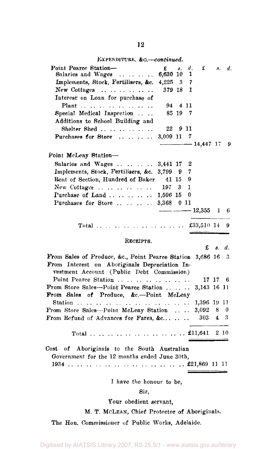EXPENDITURE, *&c.*—*continued.* 

| Point Pearce Station-                                                                                                                                                                                                                                   | £          | s.    | $\overline{d}$ . | £            | 8.             | d.  |
|---------------------------------------------------------------------------------------------------------------------------------------------------------------------------------------------------------------------------------------------------------|------------|-------|------------------|--------------|----------------|-----|
| Salaries and Wages<br>$\mathbf{r}$ . The set of the set of the set of the set of the set of the set of the set of the set of the set of the set of the set of the set of the set of the set of the set of the set of the set of the set of the set of t | 6,630 10   |       | 1                |              |                |     |
| Implements, Stock, Fertilisers, &c.                                                                                                                                                                                                                     | 4,225 3    |       | 7                |              |                |     |
| New Cottages $\dots \dots \dots \dots$                                                                                                                                                                                                                  | 379 18     |       | 1                |              |                |     |
| Interest on Loan for purchase of                                                                                                                                                                                                                        |            |       |                  |              |                |     |
| Plant                                                                                                                                                                                                                                                   | 94         | 4 1 1 |                  |              |                |     |
| Special Medical Inspection                                                                                                                                                                                                                              |            | 85 19 | 7                |              |                |     |
| Additions to School Building and                                                                                                                                                                                                                        |            |       |                  |              |                |     |
| Shelter Shed                                                                                                                                                                                                                                            | 22         | 911   |                  |              |                |     |
| Purchases for Store                                                                                                                                                                                                                                     | 3,009 11   |       | 7                |              |                |     |
|                                                                                                                                                                                                                                                         |            |       |                  | $-14,447$ 17 |                | -9  |
| Point McLeay Station-                                                                                                                                                                                                                                   |            |       |                  |              |                |     |
| Salaries and Wages                                                                                                                                                                                                                                      | 3,441 17   |       | 2                |              |                |     |
| Implements, Stock, Fertilisers, &c.                                                                                                                                                                                                                     | 3,799 9    |       | 7                |              |                |     |
| Rent of Section, Hundred of Baker                                                                                                                                                                                                                       | 41 15      |       | 9                |              |                |     |
| New Cottages                                                                                                                                                                                                                                            | $197 - 3$  |       | 1                |              |                |     |
| Purchase of Land                                                                                                                                                                                                                                        | 1,506 15   |       | 0                |              |                |     |
| Purchases for Store                                                                                                                                                                                                                                     | 3,368 0 11 |       |                  |              |                |     |
|                                                                                                                                                                                                                                                         |            |       |                  | $-12,355$    | 1              | 6   |
|                                                                                                                                                                                                                                                         |            |       |                  |              |                |     |
|                                                                                                                                                                                                                                                         |            |       |                  | £33,510 14   |                | 9   |
|                                                                                                                                                                                                                                                         |            |       |                  |              |                |     |
| RECEIPTS.                                                                                                                                                                                                                                               |            |       |                  | £            | 8.             | d.  |
|                                                                                                                                                                                                                                                         |            |       |                  |              |                |     |
| From Sales of Produce, &c., Point Pearce Station<br>From Interest on Aboriginals Depreciation In-                                                                                                                                                       |            |       |                  | 3.686 16 3   |                |     |
| vestment Account (Public Debt Commission)                                                                                                                                                                                                               |            |       |                  |              |                |     |
| Point Pearce Station                                                                                                                                                                                                                                    |            |       |                  |              | 17 17 6        |     |
| From Store Sales-Point Pearce Station                                                                                                                                                                                                                   |            |       |                  | 3,143 16 11  |                |     |
| From Sales of Produce, &c.-Point McLeay                                                                                                                                                                                                                 |            |       |                  |              |                |     |
|                                                                                                                                                                                                                                                         |            |       |                  | 1,396 19 11  |                |     |
| From Store Sales-Point McLeay Station                                                                                                                                                                                                                   |            |       |                  | 3,092        | 8              | 0   |
| From Refund of Advances for Fares, &c                                                                                                                                                                                                                   |            |       |                  | 303          | $\overline{4}$ | - 3 |
|                                                                                                                                                                                                                                                         |            |       |                  |              |                |     |
|                                                                                                                                                                                                                                                         |            |       |                  |              |                |     |
|                                                                                                                                                                                                                                                         |            |       |                  |              |                |     |
| Cost<br>of Aboriginals to the South Australian                                                                                                                                                                                                          |            |       |                  |              |                |     |
| Government for the 12 months ended June 30th,                                                                                                                                                                                                           |            |       |                  |              |                |     |
|                                                                                                                                                                                                                                                         |            |       |                  |              |                |     |
|                                                                                                                                                                                                                                                         |            |       |                  |              |                |     |
| I have the honour to be,                                                                                                                                                                                                                                |            |       |                  |              |                |     |
|                                                                                                                                                                                                                                                         |            |       |                  |              |                |     |

## Sir,

Your obedient servant,

## M. T. MCLEAN, Chief Protector of Aboriginals.

The Hon. Commissioner of Public Works, Adelaide.

Digitised by AIATSIS Library 2007, RS 25.5/1 - www.aiatsis.gov.au/library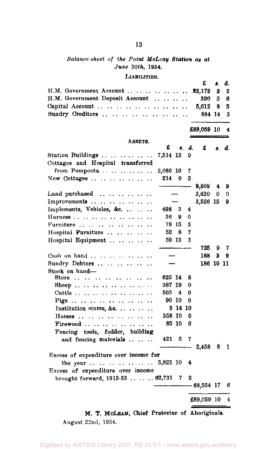# *Balance sheet of the Point McLcay Station as at June* 30th, 1934.

#### LIABILITIES.

|                                                                                               |                                    |          |                      | £              | 8. | đ.     |
|-----------------------------------------------------------------------------------------------|------------------------------------|----------|----------------------|----------------|----|--------|
| H.M. Government Account                                                                       |                                    |          | $\ddot{\phantom{0}}$ | 82,172         | 2  | 2      |
| H.M. Government Deposit Account                                                               |                                    |          |                      | 390 -          | 5  | 6      |
| Capital Account                                                                               | $\sim$ $\sim$ $\sim$ $\sim$ $\sim$ | $\cdots$ |                      | 5,612          | 8  | 5      |
| Sundry Creditors                                                                              |                                    |          | $\ddot{\phantom{0}}$ | 884 14         |    | 3      |
|                                                                                               |                                    |          |                      | £89,059 10     |    | 4      |
| ASSETS.                                                                                       |                                    |          |                      |                |    |        |
|                                                                                               | £                                  | 8.       | d.                   | £              |    | s. d.  |
| Station Buildings                                                                             | 7,514 13                           |          | 9                    |                |    |        |
| Cottages and Hospital transferred                                                             |                                    |          |                      |                |    |        |
| from Pompoota                                                                                 | 2,080 10<br>214                    |          | 7                    |                |    |        |
| New Cottages                                                                                  |                                    | 0        | 5                    |                |    |        |
| Land purchased $\ldots$                                                                       |                                    |          |                      | 9,809<br>3,630 | 4  | 9<br>0 |
| Improvements                                                                                  |                                    |          |                      | 3,526 15       | 0  | 9      |
| $\ddot{\phantom{a}}$<br>Implements, Vehicles, &c.<br>$\ddotsc$                                | 498 3                              |          | 4                    |                |    |        |
| Harness $\ldots$ $\ldots$ $\ldots$ $\ldots$                                                   | 36                                 | 9        | 0                    |                |    |        |
| Furniture $\ldots$ $\ldots$ $\ldots$ $\ldots$<br>$\ddot{\phantom{a}}$<br>$\ddot{\phantom{a}}$ | 78 15                              |          | 5                    |                |    |        |
| Hospital Furniture<br>$\ddot{\phantom{a}}$                                                    | 52                                 | 8        | 7                    |                |    |        |
| Hospital Equipment                                                                            | 59 13                              |          | 3                    |                |    |        |
|                                                                                               |                                    |          |                      | 725            | 9  | 7      |
| Cash on hand                                                                                  |                                    |          |                      | 168            | 3  | 9      |
| Sundry Debtors                                                                                |                                    |          |                      | 186 10 11      |    |        |
| Stock on hand-                                                                                |                                    |          |                      |                |    |        |
| Store                                                                                         | 625 14                             |          | 8                    |                |    |        |
|                                                                                               | 367 19                             |          | 0                    |                |    |        |
| Cattle                                                                                        | 503 4                              |          | 0                    |                |    |        |
|                                                                                               | 90 10                              |          | 0                    |                |    |        |
| Institution stores, &c.<br>$\ddot{\phantom{0}}$                                               |                                    | 5 14 10  |                      |                |    |        |
| Horses                                                                                        | 358 10                             |          | 0                    |                |    |        |
| Firewood                                                                                      |                                    | 85 10    | 0                    |                |    |        |
| Fencing tools, fodder, building                                                               |                                    |          |                      |                |    |        |
| and fencing materials                                                                         | 421                                | 5        | 7                    |                |    |        |
|                                                                                               |                                    |          |                      | 2,458          | 8  | 1      |
| Excess of expenditure over income for                                                         |                                    |          |                      |                |    |        |
| the year  5,823 10                                                                            |                                    |          | 4                    |                |    |        |
| Excess of expenditure over income                                                             |                                    |          |                      |                |    |        |
| brought forward, 1915-33  62,731                                                              |                                    | 7        | 2                    |                |    | 6      |
|                                                                                               |                                    |          |                      | - 68,554 17    |    |        |
|                                                                                               |                                    |          |                      | £89,059 10     |    | 4      |
|                                                                                               |                                    |          |                      |                |    |        |

M. T. MCLEAN, Chief Protector of Aboriginals. August 22nd, 1934.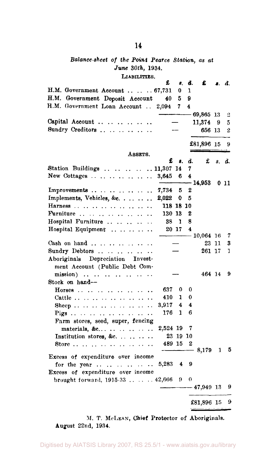# *Balance-sheet of the Point Pearce Station, as at June 30th,* 1934.

LIABILITIES.

|                                                       | £         | 8.          | đ. | £            |    | s. d. |
|-------------------------------------------------------|-----------|-------------|----|--------------|----|-------|
| H.M. Government Account  67,731                       |           | 0           | 1  |              |    |       |
| H.M. Government Deposit Account                       | 40        | 5           | 9  |              |    |       |
| H.M. Government Loan Account                          | 2,094     | 7           | 4  |              |    |       |
|                                                       |           |             |    | $-69,865$ 13 |    | 2     |
| Capital Account                                       |           |             |    | 11,374       | 9  | 5     |
| Sundry Creditors                                      |           |             |    | 656 13       |    | 2     |
|                                                       |           |             |    |              |    |       |
|                                                       |           |             |    | £81,896 15   |    | 9     |
| ASSETS.                                               |           |             |    |              |    |       |
|                                                       | £         | 8.          | d. | £            |    | s. d. |
| Station Buildings 11,307 14                           |           |             | 7  |              |    |       |
| New Cottages                                          | 3,645     | 6           | 4  |              |    |       |
|                                                       |           |             |    | - 14.953     |    | 0 11  |
| Improvements $\ldots$ $\ldots$ $\ldots$ $\ldots$      | 7.734     | 5           | 2  |              |    |       |
| Implements, Vehicles, &c.                             | 2,022     | 0           | 5  |              |    |       |
| Harness<br>$\ddot{\phantom{a}}$                       | 118 18 10 |             |    |              |    |       |
| Furniture                                             | 130 13    |             | 2  |              |    |       |
| Hospital Furniture                                    | 38        | 1           | 8  |              |    |       |
| Hospital Equipment                                    |           | 20 17       | 4  |              |    |       |
|                                                       |           |             |    | $-10,064$ 16 |    | 7     |
| Cash on hand $\ldots$ $\ldots$ $\ldots$               |           |             |    | 23           | 11 | 3     |
| Sundry Debtors                                        |           |             |    | 261 17       |    | 1     |
| Aboriginals Depreciation Invest-                      |           |             |    |              |    |       |
| ment Account (Public Debt Com-                        |           |             |    |              |    |       |
| $mission)$                                            |           |             |    | 464 14       |    | 9     |
| Stock on hand-                                        |           |             |    |              |    |       |
| Horses $\dots$ $\dots$ $\dots$<br>$\ddotsc$<br>$\sim$ | 637       | $\mathbf 0$ | 0  |              |    |       |
|                                                       | 410       | 1           | 0  |              |    |       |
|                                                       | 3,917     | 4           | 4  |              |    |       |
| Pigs                                                  | 176       | 1           | 6  |              |    |       |
| Farm stores, seed, super, fencing                     |           |             |    |              |    |       |
| materials, &c                                         | 2,524 19  |             | 7  |              |    |       |
| Institution stores, &c.                               |           | 23 19 10    |    |              |    |       |
| Store                                                 | 489 15    |             | 2  |              |    |       |
|                                                       |           |             | —  | 8,179        | 1  | 5     |
| Excess of expenditure over income                     |           |             |    |              |    |       |
| for the year $\ldots$ $\ldots$ $\ldots$<br>$\ddotsc$  | 5,283 4   |             | 9  |              |    |       |
| Excess of expenditure over income                     |           |             |    |              |    |       |
| brought forward, $1915-33$ $42,666$                   |           | 9           | 0  |              |    |       |
|                                                       |           |             |    | $-47,949$ 13 |    | 9     |
|                                                       |           |             |    |              |    |       |
|                                                       |           |             |    | £81,896 15   |    | 9     |

M. T. MCLEAN, Chief Protector of Aboriginals. August 22nd, 1934.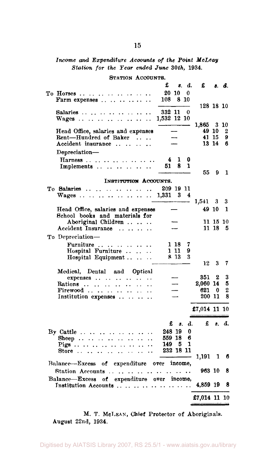#### *Income and Expenditure Accounts of the Point McLeay Station for the Tear ended June 30th,* 1934.

STATION ACCOUNTS. £ *s. d.* £ *s. d.*  To Horses 20 10 0 Farm expenses  $\ldots$   $\ldots$   $\ldots$ 128 18 10 Salaries 332 11 0 Wages ................ 1,865 3 10 Head Office, salaries and expenses - 49 10 2<br>Rent-Hundred of Baker .... - 41 15 9 Rent—Hundred of Baker .... - 41 15 9<br>Accident insurance ....... - 13 14 6 Accident insurance .... Depreciation— Harness ............... 4 1 0<br>Implements ........... 51 8 1 Implements ......... 55 9 1 INSTITUTION ACCOUNTS. To Salaries 209 19 11  $Wages$  ..., ..., ..., .... — 1,541 3 3 Head Office, salaries and expenses – 49 10 1 School books and materials for Aboriginal Children .. .. .. - 11 15 10<br>
externt Insurance .. .. .. .. - 11 18 5 Accident Insurance ...... To Depreciation— Furniture .......... 1 18 7<br>Hospital Furniture ..... 1 11 9 Hospital Furniture .. .. .. 1 11 9<br>Hospital Equipment .. .. .. 8 13 3 Hospital Equipment . . . . . . 12 3 7 Medical, Dental and Optical expenses  $\ldots$   $\ldots$   $\ldots$   $\ldots$   $\ldots$   $\ldots$   $\ldots$  351 2 3 Rations — 2,060 14 5 Firewood  $\ldots$   $\ldots$   $\ldots$   $\ldots$   $\ldots$   $\ldots$   $\ldots$   $\ldots$   $\ldots$   $\ldots$   $\ldots$   $\ldots$   $\ldots$   $\ldots$   $\ldots$   $\ldots$   $\ldots$   $\ldots$   $\ldots$   $\ldots$   $\ldots$   $\ldots$   $\ldots$   $\ldots$   $\ldots$   $\ldots$   $\ldots$   $\ldots$   $\ldots$   $\ldots$   $\ldots$   $\ldots$   $\ldots$   $\ldots$   $\ldots$   $\$ Institution expenses . . . . . . . £7,014 11 10 £ *s. d.* £ *s. d.*  By Cattle 248 19 0 Sheep 559 18 6 Pigs ................. 149 5 1<br>Store .................. 232 18 11 Store .. .. .. .. .. .. .. .. .. 1,191 1 6 Balance—-Excess of expenditure oyer income, Station Accounts 963 10 8 Balance—Excess of expenditure over income, Institution Accounts  $\ldots$   $\ldots$   $\ldots$   $\ldots$   $\ldots$   $\ldots$  4,859 19 8 £7,014 11 10

M. T. MCLEAN, Chief Protector of Aboriginals. August 22nd, 1934.